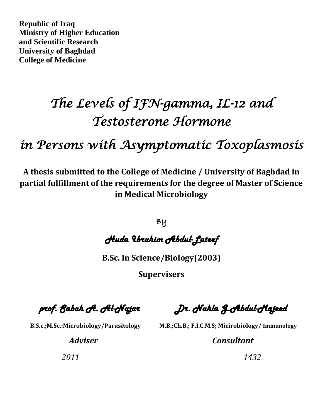**Republic of Iraq Ministry of Higher Education and Scientific Research University of Baghdad College of Medicine**

## *The Levels of IFN-gamma, IL-12 and Testosterone Hormone*

*in Persons with Asymptomatic Toxoplasmosis* 

**A thesis submitted to the College of Medicine / University of Baghdad in partial fulfillment of the requirements for the degree of Master of Science in Medical Microbiology**

**By** 

*Huda Ibrahim Abdul-Lateef* 

**B.Sc. In Science/Biology(2003)**

**Supervisers**

 *prof. Sabah A. Al-Najar Dr. Nahla G.Abdul-Majeed*

 **B.S.c.;M.Sc.:Microbiology/Parasitology M.B.;Ch.B.; F.I.C.M.S; Micirobiology/ Immunology**

 *Adviser Consultant* 

*2011 1432*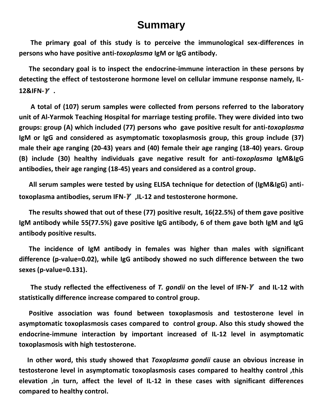## **Summary**

 **The primary goal of this study is to perceive the immunological sex-differences in persons who have positive anti-***toxoplasma* **IgM or IgG antibody.**

 **The secondary goal is to inspect the endocrine-immune interaction in these persons by detecting the effect of testosterone hormone level on cellular immune response namely, IL-12&IFN- .**

 **A total of (107) serum samples were collected from persons referred to the laboratory unit of Al-Yarmok Teaching Hospital for marriage testing profile. They were divided into two groups: group (A) which included (77) persons who gave positive result for anti-***toxoplasma* **IgM or IgG and considered as asymptomatic toxoplasmosis group, this group include (37) male their age ranging (20-43) years and (40) female their age ranging (18-40) years. Group (B) include (30) healthy individuals gave negative result for anti***-toxoplasma* **IgM&IgG antibodies, their age ranging (18-45) years and considered as a control group.**

 **All serum samples were tested by using ELISA technique for detection of (IgM&IgG) antitoxoplasma antibodies, serum IFN- ,IL-12 and testosterone hormone.**

 **The results showed that out of these (77) positive result, 16(22.5%) of them gave positive IgM antibody while 55(77.5%) gave positive IgG antibody, 6 of them gave both IgM and IgG antibody positive results.**

 **The incidence of IgM antibody in females was higher than males with significant difference (p-value=0.02), while IgG antibody showed no such difference between the two sexes (p-value=0.131).**

 **The study reflected the effectiveness of** *T. gondii* **on the level of IFN- and IL-12 with statistically difference increase compared to control group.**

 **Positive association was found between toxoplasmosis and testosterone level in asymptomatic toxoplasmosis cases compared to control group. Also this study showed the endocrine-immune interaction by important increased of IL-12 level in asymptomatic toxoplasmosis with high testosterone.**

 **In other word, this study showed that** *Toxoplasma gondii* **cause an obvious increase in testosterone level in asymptomatic toxoplasmosis cases compared to healthy control ,this elevation ,in turn, affect the level of IL-12 in these cases with significant differences compared to healthy control.**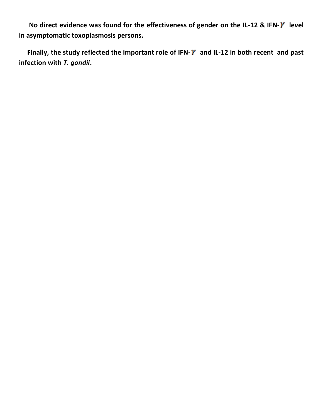**No direct evidence was found for the effectiveness of gender on the IL-12 & IFN- level in asymptomatic toxoplasmosis persons.**

 **Finally, the study reflected the important role of IFN- and IL-12 in both recent and past infection with** *T. gondii***.**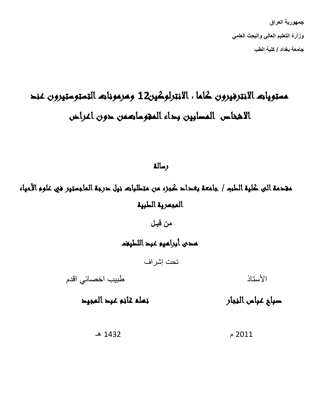**جمهورٌة العراق**  وزارة التعليم العال*ي و*البحث العلم*ي* **جامعة بغداد / كلٌة الطب** 

## مستويات الانترفيرون كاما ، الانترلوكين12 ومرمونات التستوستيرون عند الاشخاص المصابين بداء المقوساتهمن حون اغراض

رسالة

مقدمة الى كلية الطبم / جامعة بغداد كجزء من متطلباته نيل حرجة الماجستير في علوم الأحياء المجمرية الطرية

> **من قبـل** تمدي أبرالميو عبد اللطيفم

> > تحت إشراف

األستاذ طبيب اخصائي اقدم

صليحت ليست رعكيرالىكهتغيالمت لنت رمكفن

2011 م 1432 هـ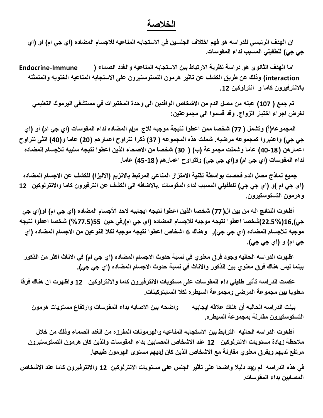## **الخالصة**

ان الهدف الرئيسي للدراسه هو فهم اختلاف الجنسين في الاستجابه المناعيه للاجسام المضاده (اي جي ام) او (اي **جً جً( للطفٌلً المسبب لداء المقوسات.**

 **اما الهدف الثانوي هو دراسة نظرٌة االرتباط بٌن االستجابه المناعٌه والغدد الصماء ) Immune-Endocrine** interaction) وذلك عن طريق الكشف عن تاثير هرمون التستوستيرون على الاستجابه المناعيه الخلويه والمتمثله **بالانترفيرون كاما و انترلوكين 12.** 

 **تم جمع ) 107( عٌنه من مصل الدم من االشخاص الوافدٌن الى وحدة المختبرات فً مستشفى الٌرموك التعلٌمً لغرض اجراء اختبار الزواج. وقد قسموا الى مجموعتٌن:**

 **المجموعه)أ( وتشمل ) 77( شخصا ممن اعطوا نتٌجة موجبه لالج سام المضاده لداء المقوسات )اي جً ام( أو )اي جً جً( واعتبروا كمجموعه مرضٌه. شملت هذه المجموعه ) 37( ذكرا تتراوح اعمارهم )20( عاما و)40( انثى تتراوح اعمارهن )40-18( عاما وشملت مجموعة )ب( ) 30( شخصا من االصحاء الذٌن اعطوا نتٌجه سلبٌه لالجسام المضاده لداء المقوسات )اي جً ام( و)اي جً جً( وتتراوح اعمارهم ) 45-18( عاما.**

جميع نماذج مصل الدم فحصت بواسطة تقنية الامتزاز المناعى المرتبط بالانزيم (الاليزا) للكشف عن الاجسام المضاده **)اي جً ام (و )اي جً جً( للطفٌلً المسبب لداء المقوسات .باالضافه الى الكشف عن انترفٌرون كاما واالنترلوكٌن 12 وهرمون التستوستٌرون.**

 **أظهرت النتائج انه من بٌن ال) 77( شخصا الذٌن اعطوا نتٌجه اٌجابٌه الحد األجسام المضاده )اي جً ام( او)اي جً جً(16,)22.5%(شخصا اعطوا نتٌجه موجبه لالجسام المضاده )اي جً ام(,فً حٌن 55)%77.5( شخصا اعطوا نتٌجه موجبه لالجسام المضاده )اي جً جً(, وهناك 6 اشخاص اعطوا نتٌجه موجبه لكال النوعٌن من االجسام المضاده )اي جي ام) و (اي جي جي).** 

اظهرت الدراسه الحاليه وجود فرق معنوي في نسبة حدوث الاجسام المضاده (اي جي ام) في الاناث اكثر من الذكور بينما ليس هناك فرق معنوي بين الذكور والاناث في نسبة حدوث الاجسام المضاده (اي ج*ي جي)*.

 **عكست الدراسه تأثٌر طفٌلً داء المقوسات على مستوٌات االنترفٌرون كاما واالنترلوكٌن 12 واظهرت ان هناك فرقا**  معنويا بين مجموعة المرض*ى* ومجموعة السيطره لكلا السايتوكينات.

 **بٌنت الدراسه الحالٌه أن هناك عالقه اٌجابٌه واضحه بٌن االصابه بداء المقوسات وارتفاع مستوٌات هرمون**  التستوستيرون مقارنة بمجموعة السيطره<u>.</u>

 **أظهرت الدراسه الحالٌه الترابط بٌن االستجابه المناعٌه والهرمونات المفرزه من الغدد الصماء وذلك من خالل مالحظة زٌادة مستوٌات االنترلوكٌن 12 عند االشخاص المصابٌن بداء المقوسات والذٌن كان هرمون التستوستٌرون**  مرت**فع لديهم وبفرق معنوي مقارنة مع الاشخاص الذين كان لديهم مستوى الهرمون طبيعيا.** 

**فً هذه الدراسه لم نجد دلٌال واضحا على تأثٌر الجنس على مستوٌات االنترلوكٌن 12 واالنترفٌرون كاما عند االشخاص المصابٌن بداء المقوسات.**